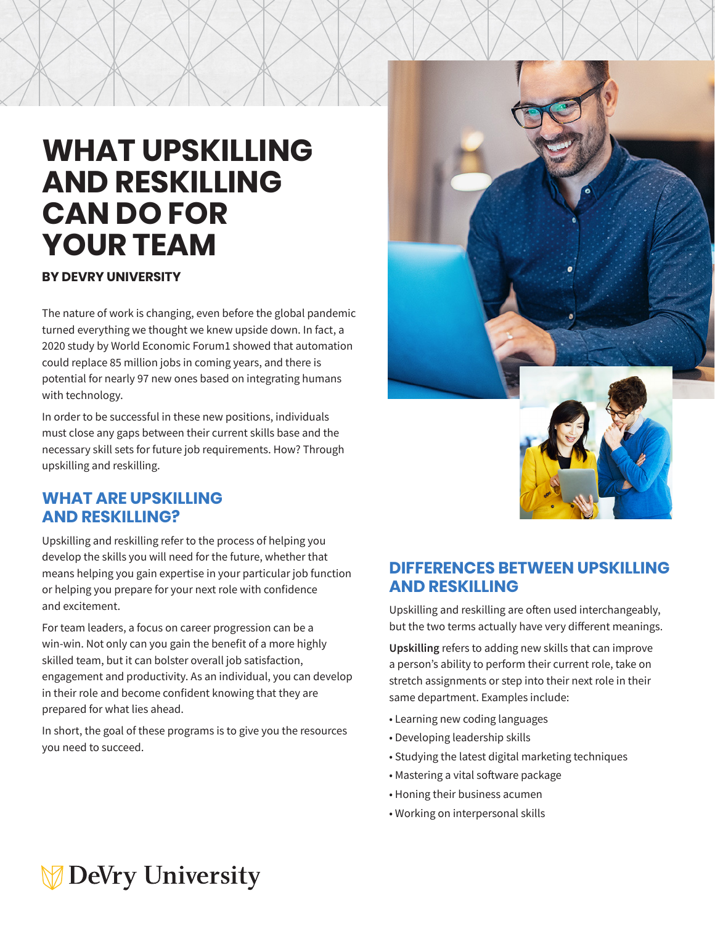# **WHAT UPSKILLING AND RESKILLING CAN DO FOR YOUR TEAM**

#### **BY DEVRY UNIVERSITY**

The nature of work is changing, even before the global pandemic turned everything we thought we knew upside down. In fact, a 2020 study by World Economic Forum1 showed that automation could replace 85 million jobs in coming years, and there is potential for nearly 97 new ones based on integrating humans with technology.

In order to be successful in these new positions, individuals must close any gaps between their current skills base and the necessary skill sets for future job requirements. How? Through upskilling and reskilling.

#### **WHAT ARE UPSKILLING AND RESKILLING?**

Upskilling and reskilling refer to the process of helping you develop the skills you will need for the future, whether that means helping you gain expertise in your particular job function or helping you prepare for your next role with confidence and excitement.

For team leaders, a focus on career progression can be a win-win. Not only can you gain the benefit of a more highly skilled team, but it can bolster overall job satisfaction, engagement and productivity. As an individual, you can develop in their role and become confident knowing that they are prepared for what lies ahead.

In short, the goal of these programs is to give you the resources you need to succeed.



#### **DIFFERENCES BETWEEN UPSKILLING AND RESKILLING**

Upskilling and reskilling are often used interchangeably, but the two terms actually have very different meanings.

**Upskilling** refers to adding new skills that can improve a person's ability to perform their current role, take on stretch assignments or step into their next role in their same department. Examples include:

- Learning new coding languages
- Developing leadership skills
- Studying the latest digital marketing techniques
- Mastering a vital software package
- Honing their business acumen
- Working on interpersonal skills

## **DeVry University**